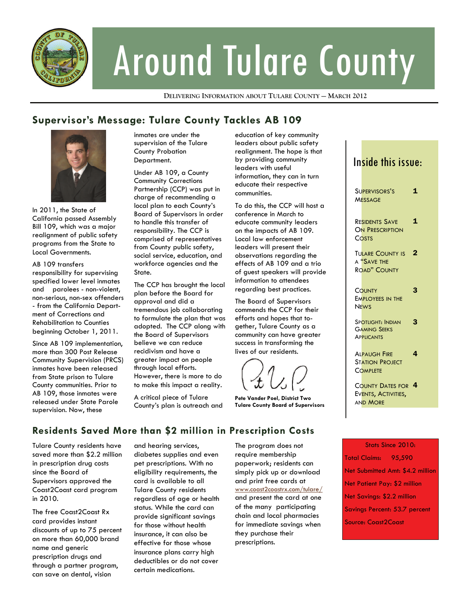

# Around Tulare County

**DELIVERING INFORMATION ABOUT TULARE COUNTY — MARCH 2012**

## **Supervisor's Message: Tulare County Tackles AB 109**



In 2011, the State of California passed Assembly Bill 109, which was a major realignment of public safety programs from the State to Local Governments.

## AB 109 transfers

responsibility for supervising specified lower level inmates and parolees - non-violent, non-serious, non-sex offenders - from the California Department of Corrections and Rehabilitation to Counties beginning October 1, 2011.

Since AB 109 implementation, more than 300 Post Release Community Supervision (PRCS) inmates have been released from State prison to Tulare County communities. Prior to AB 109, those inmates were released under State Parole supervision. Now, these

inmates are under the supervision of the Tulare County Probation Department.

Under AB 109, a County Community Corrections Partnership (CCP) was put in charge of recommending a local plan to each County's Board of Supervisors in order to handle this transfer of responsibility. The CCP is comprised of representatives from County public safety, social service, education, and workforce agencies and the State.

The CCP has brought the local plan before the Board for approval and did a tremendous job collaborating to formulate the plan that was adopted. The CCP along with the Board of Supervisors believe we can reduce recidivism and have a greater impact on people through local efforts. However, there is more to do to make this impact a reality.

A critical piece of Tulare County's plan is outreach and education of key community leaders about public safety realignment. The hope is that by providing community leaders with useful information, they can in turn educate their respective communities.

To do this, the CCP will host a conference in March to educate community leaders on the impacts of AB 109. Local law enforcement leaders will present their observations regarding the effects of AB 109 and a trio of guest speakers will provide information to attendees regarding best practices.

The Board of Supervisors commends the CCP for their efforts and hopes that together, Tulare County as a community can have greater success in transforming the lives of our residents.

**Pete Vander Poel, District Two Tulare County Board of Supervisors** 

# Inside this issue:

| SUPERVISORS'S<br><b>MESSAGE</b>                                      | 1 |
|----------------------------------------------------------------------|---|
| <b>RESIDENTS SAVE</b><br><b>ON PRESCRIPTION</b><br>COSTS             | 1 |
| <b>TULARE COUNTY IS</b><br>A "SAVE THE<br><b>ROAD" COUNTY</b>        | 2 |
| COUNTY<br><b>EMPLOYEES IN THE</b><br><b>NEWS</b>                     | 3 |
| <b>SPOTLIGHT: INDIAN</b><br><b>GAMING SEEKS</b><br><b>APPLICANTS</b> | З |
| <b>ALPAUGH FIRE</b><br><b>STATION PROJECT</b><br>COMPLETE            | 4 |
| <b>COUNTY DATES FOR 4</b><br>EVENTS, ACTIVITIES,<br><b>AND MORE</b>  |   |
|                                                                      |   |

**Residents Saved More than \$2 million in Prescription Costs** 

Tulare County residents have saved more than \$2.2 million in prescription drug costs since the Board of Supervisors approved the Coast2Coast card program in 2010.

The free Coast2Coast Rx card provides instant discounts of up to 75 percent on more than 60,000 brand name and generic prescription drugs and through a partner program, can save on dental, vision

and hearing services, diabetes supplies and even pet prescriptions. With no eligibility requirements, the card is available to all Tulare County residents regardless of age or health status. While the card can provide significant savings for those without health insurance, it can also be effective for those whose insurance plans carry high deductibles or do not cover certain medications.

The program does not require membership paperwork; residents can simply pick up or download and print free cards at www.coast2coastrx.com/tulare/ and present the card at one of the many participating chain and local pharmacies for immediate savings when they purchase their prescriptions.

## Stats Since 2010: Total Claims: 95,590 Net Submitted Amt: \$4.2 million Net Patient Pay: \$2 million Net Savings: \$2.2 million Savings Percent: 53.7 percent Source: Coast2Coast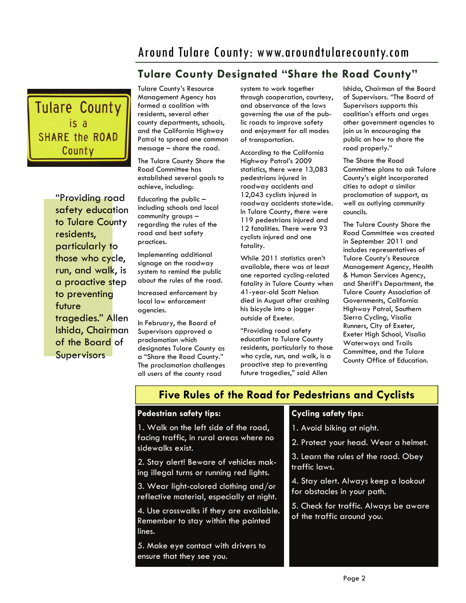# Around Tulare County: www.aroundtularecounty.com

# **Tulare County Designated "Share the Road County"**



"Providing road safety education to Tulare County residents, particularly to those who cycle, run, and walk, is a proactive step to preventing future tragedies." Allen Ishida, Chairman of the Board of **Supervisors** 

Tulare County's Resource Management Agency has formed a coalition with residents, several other county departments, schools, and the California Highway Patrol to spread one common message – share the road.

The Tulare County Share the Road Committee has established several goals to achieve, including:

Educating the public – including schools and local community groups – regarding the rules of the road and best safety practices.

Implementing additional signage on the roadway system to remind the public about the rules of the road.

Increased enforcement by local law enforcement agencies.

In February, the Board of Supervisors approved a proclamation which designates Tulare County as a "Share the Road County." The proclamation challenges all users of the county road

system to work together through cooperation, courtesy, and observance of the laws governing the use of the public roads to improve safety and enjoyment for all modes of transportation.

According to the California Highway Patrol's 2009 statistics, there were 13,083 pedestrians injured in roadway accidents and 12,043 cyclists injured in roadway accidents statewide. In Tulare County, there were 119 pedestrians injured and 12 fatalities. There were 93 cyclists injured and one fatality.

While 2011 statistics aren't available, there was at least one reported cycling-related fatality in Tulare County when 41-year-old Scott Nelson died in August after crashing his bicycle into a jogger outside of Exeter.

"Providing road safety education to Tulare County residents, particularly to those who cycle, run, and walk, is a proactive step to preventing future tragedies," said Allen

Ishida, Chairman of the Board of Supervisors. "The Board of Supervisors supports this coalition's efforts and urges other government agencies to join us in encouraging the public on how to share the road properly."

The Share the Road Committee plans to ask Tulare County's eight incorporated cities to adopt a similar proclamation of support, as well as outlying community councils.

The Tulare County Share the Road Committee was created in September 2011 and includes representatives of Tulare County's Resource Management Agency, Health & Human Services Agency, and Sheriff's Department, the Tulare County Association of Governments, California Highway Patrol, Southern Sierra Cycling, Visalia Runners, City of Exeter, Exeter High School, Visalia Waterways and Trails Committee, and the Tulare County Office of Education.

# **Five Rules of the Road for Pedestrians and Cyclists**

## **Pedestrian safety tips:**

1. Walk on the left side of the road, facing traffic, in rural areas where no sidewalks exist.

2. Stay alert! Beware of vehicles making illegal turns or running red lights.

3. Wear light-colored clothing and/or reflective material, especially at night.

4. Use crosswalks if they are available. Remember to stay within the painted lines.

5. Make eye contact with drivers to ensure that they see you.

## **Cycling safety tips:**

1. Avoid biking at night.

2. Protect your head. Wear a helmet.

3. Learn the rules of the road. Obey traffic laws.

4. Stay alert. Always keep a lookout for obstacles in your path.

5. Check for traffic. Always be aware of the traffic around you.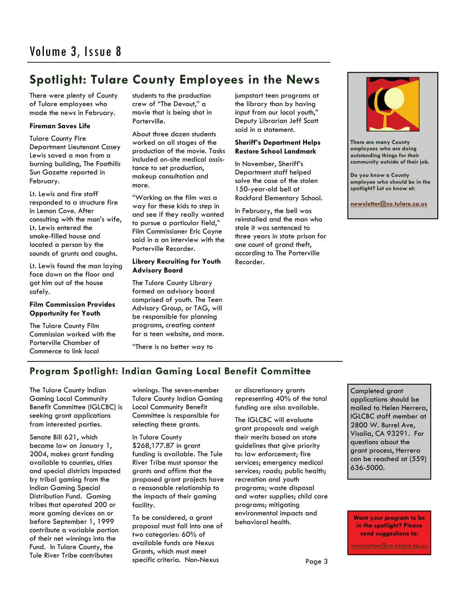# **Spotlight: Tulare County Employees in the News**

There were plenty of County of Tulare employees who made the news in February.

#### **Fireman Saves Life**

Tulare County Fire Department Lieutenant Casey Lewis saved a man from a burning building, The Foothills Sun Gazette reported in February.

Lt. Lewis and fire staff responded to a structure fire in Lemon Cove. After consulting with the man's wife, Lt. Lewis entered the smoke-filled house and located a person by the sounds of grunts and coughs.

Lt. Lewis found the man laying face down on the floor and got him out of the house safely.

#### **Film Commission Provides Opportunity for Youth**

The Tulare County Film Commission worked with the Porterville Chamber of Commerce to link local

students to the production crew of "The Devout," a movie that is being shot in Porterville.

About three dozen students worked on all stages of the production of the movie. Tasks included on-site medical assistance to set production, makeup consultation and more.

"Working on the film was a way for these kids to step in and see if they really wanted to pursue a particular field," Film Commissioner Eric Coyne said in a an interview with the Porterville Recorder.

## **Library Recruiting for Youth Advisory Board**

The Tulare County Library formed an advisory board comprised of youth. The Teen Advisory Group, or TAG, will be responsible for planning programs, creating content for a teen website, and more.

"There is no better way to

jumpstart teen programs at the library than by having input from our local youth," Deputy Librarian Jeff Scott said in a statement.

#### **Sheriff's Department Helps Restore School Landmark**

In November, Sheriff's Department staff helped solve the case of the stolen 150-year-old bell at Rockford Elementary School.

In February, the bell was reinstalled and the man who stole it was sentenced to three years in state prison for one count of grand theft, according to The Porterville Recorder.



**There are many County employees who are doing outstanding things for their community outside of their job.** 

**Do you know a County employee who should be in the spotlight? Let us know at:** 

**newsletter@co.tulare.ca.us**

## **Program Spotlight: Indian Gaming Local Benefit Committee**

The Tulare County Indian Gaming Local Community Benefit Committee (IGLCBC) is seeking grant applications from interested parties.

Senate Bill 621, which became law on January 1, 2004, makes grant funding available to counties, cities and special districts impacted by tribal gaming from the Indian Gaming Special Distribution Fund. Gaming tribes that operated 200 or more gaming devices on or before September 1, 1999 contribute a variable portion of their net winnings into the Fund. In Tulare County, the Tule River Tribe contributes

winnings. The seven-member Tulare County Indian Gaming Local Community Benefit Committee is responsible for selecting these grants.

In Tulare County \$268,177.87 in grant funding is available. The Tule River Tribe must sponsor the grants and affirm that the proposed grant projects have a reasonable relationship to the impacts of their gaming facility.

To be considered, a grant proposal must fall into one of two categories: 60% of available funds are Nexus Grants, which must meet specific criteria. Non-Nexus

or discretionary grants representing 40% of the total funding are also available.

The IGLCBC will evaluate grant proposals and weigh their merits based on state guidelines that give priority to: law enforcement; fire services; emergency medical services; roads; public health; recreation and youth programs; waste disposal and water supplies; child care programs; mitigating environmental impacts and behavioral health.

Completed grant applications should be mailed to Helen Herrera, IGLCBC staff member at 2800 W. Burrel Ave, Visalia, CA 93291. For questions about the grant process, Herrera can be reached at (559) 636-5000.

**Want your program to be in the spotlight? Please send suggestions to:** 

**newsletter@co.tulare.ca.us**